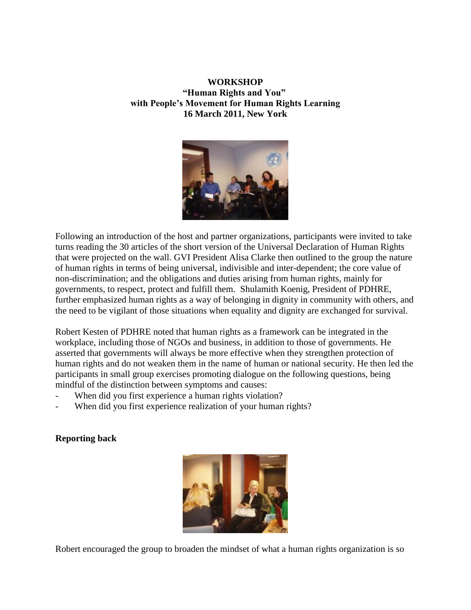## **WORKSHOP "Human Rights and You" with People's Movement for Human Rights Learning 16 March 2011, New York**



Following an introduction of the host and partner organizations, participants were invited to take turns reading the 30 articles of the short version of the Universal Declaration of Human Rights that were projected on the wall. GVI President Alisa Clarke then outlined to the group the nature of human rights in terms of being universal, indivisible and inter-dependent; the core value of non-discrimination; and the obligations and duties arising from human rights, mainly for governments, to respect, protect and fulfill them. Shulamith Koenig, President of PDHRE, further emphasized human rights as a way of belonging in dignity in community with others, and the need to be vigilant of those situations when equality and dignity are exchanged for survival.

Robert Kesten of PDHRE noted that human rights as a framework can be integrated in the workplace, including those of NGOs and business, in addition to those of governments. He asserted that governments will always be more effective when they strengthen protection of human rights and do not weaken them in the name of human or national security. He then led the participants in small group exercises promoting dialogue on the following questions, being mindful of the distinction between symptoms and causes:

- When did you first experience a human rights violation?
- When did you first experience realization of your human rights?

## **Reporting back**



Robert encouraged the group to broaden the mindset of what a human rights organization is so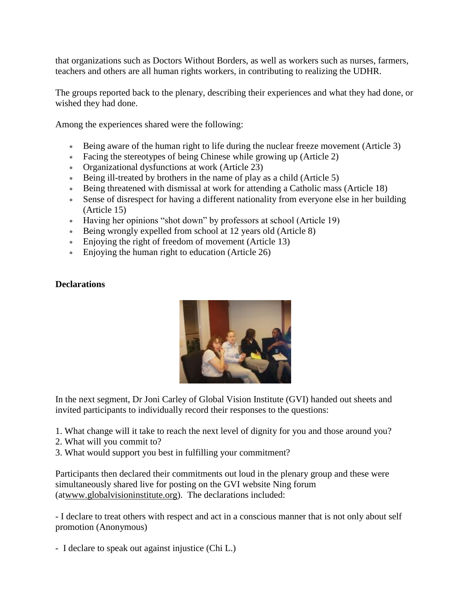that organizations such as Doctors Without Borders, as well as workers such as nurses, farmers, teachers and others are all human rights workers, in contributing to realizing the UDHR.

The groups reported back to the plenary, describing their experiences and what they had done, or wished they had done.

Among the experiences shared were the following:

- Being aware of the human right to life during the nuclear freeze movement (Article 3)
- Facing the stereotypes of being Chinese while growing up (Article 2)
- Organizational dysfunctions at work (Article 23)
- Being ill-treated by brothers in the name of play as a child (Article 5)
- Being threatened with dismissal at work for attending a Catholic mass (Article 18)
- Sense of disrespect for having a different nationality from everyone else in her building (Article 15)
- Having her opinions "shot down" by professors at school (Article 19)
- Being wrongly expelled from school at 12 years old (Article 8)
- Enjoying the right of freedom of movement (Article 13)
- Enjoying the human right to education (Article 26)

## **Declarations**



In the next segment, Dr Joni Carley of Global Vision Institute (GVI) handed out sheets and invited participants to individually record their responses to the questions:

1. What change will it take to reach the next level of dignity for you and those around you?

- 2. What will you commit to?
- 3. What would support you best in fulfilling your commitment?

Participants then declared their commitments out loud in the plenary group and these were simultaneously shared live for posting on the GVI website Ning forum (a[twww.globalvisioninstitute.org\)](http://www.globalvisioninstitute.org/). The declarations included:

- I declare to treat others with respect and act in a conscious manner that is not only about self promotion (Anonymous)

- I declare to speak out against injustice (Chi L.)